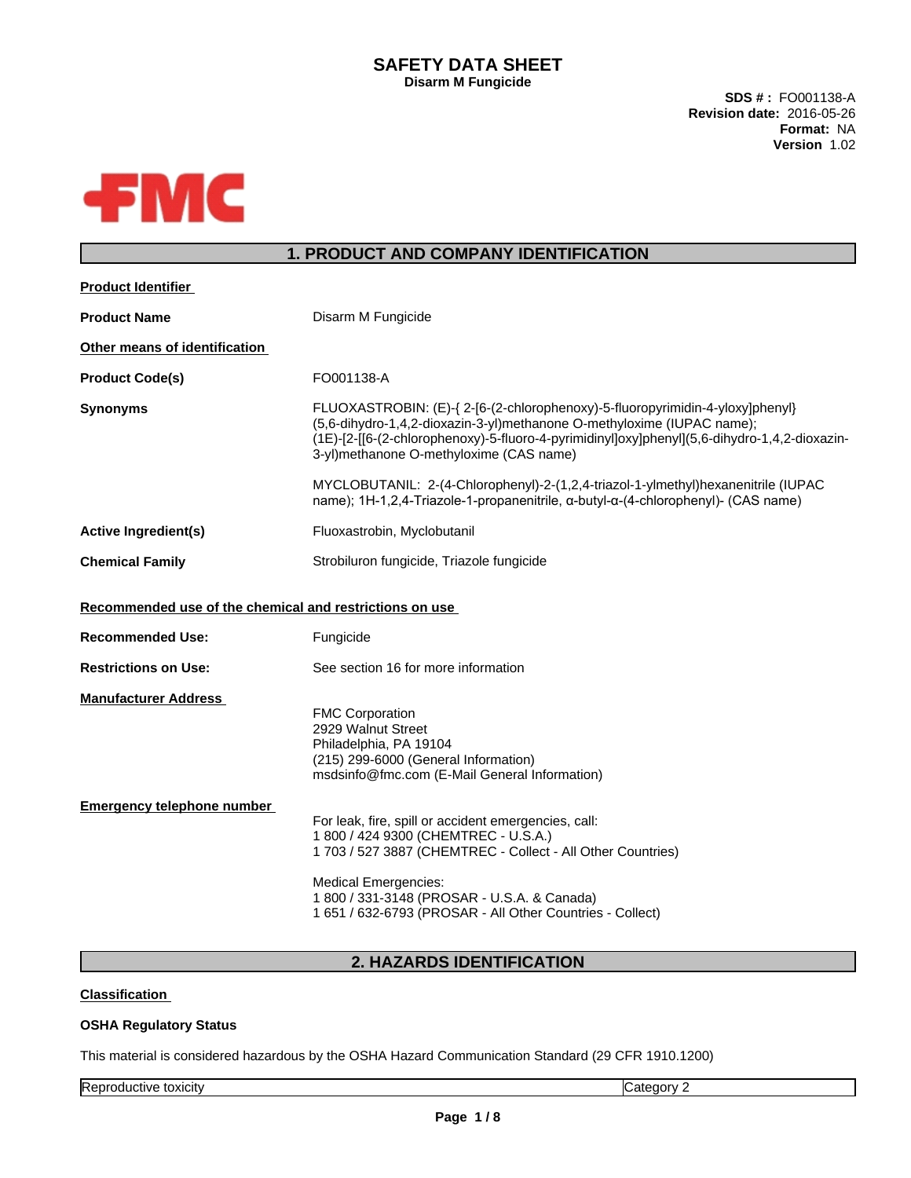## **SAFETY DATA SHEET Disarm M Fungicide**

**SDS # :** FO001138-A **Revision date:** 2016-05-26 **Format:** NA **Version** 1.02



# **1. PRODUCT AND COMPANY IDENTIFICATION**

| <b>Product Name</b><br>Disarm M Fungicide<br>Other means of identification<br><b>Product Code(s)</b><br>FO001138-A<br>FLUOXASTROBIN: (E)-{ 2-[6-(2-chlorophenoxy)-5-fluoropyrimidin-4-yloxy]phenyl}<br><b>Synonyms</b><br>(5,6-dihydro-1,4,2-dioxazin-3-yl)methanone O-methyloxime (IUPAC name);<br>(1E)-[2-[[6-(2-chlorophenoxy)-5-fluoro-4-pyrimidinyl]oxy]phenyl](5,6-dihydro-1,4,2-dioxazin-<br>3-yl)methanone O-methyloxime (CAS name)<br>MYCLOBUTANIL: 2-(4-Chlorophenyl)-2-(1,2,4-triazol-1-ylmethyl)hexanenitrile (IUPAC<br>name); 1H-1,2,4-Triazole-1-propanenitrile, α-butyl-α-(4-chlorophenyl)- (CAS name)<br>Fluoxastrobin, Myclobutanil<br><b>Active Ingredient(s)</b><br>Strobiluron fungicide, Triazole fungicide<br><b>Chemical Family</b><br>Recommended use of the chemical and restrictions on use<br>Fungicide<br><b>Recommended Use:</b><br>See section 16 for more information<br><b>Restrictions on Use:</b><br><b>Manufacturer Address</b><br><b>FMC Corporation</b><br>2929 Walnut Street<br>Philadelphia, PA 19104<br>(215) 299-6000 (General Information)<br>msdsinfo@fmc.com (E-Mail General Information)<br>Emergency telephone number<br>For leak, fire, spill or accident emergencies, call:<br>1 800 / 424 9300 (CHEMTREC - U.S.A.)<br>1 703 / 527 3887 (CHEMTREC - Collect - All Other Countries) | <b>Product Identifier</b> |                             |
|------------------------------------------------------------------------------------------------------------------------------------------------------------------------------------------------------------------------------------------------------------------------------------------------------------------------------------------------------------------------------------------------------------------------------------------------------------------------------------------------------------------------------------------------------------------------------------------------------------------------------------------------------------------------------------------------------------------------------------------------------------------------------------------------------------------------------------------------------------------------------------------------------------------------------------------------------------------------------------------------------------------------------------------------------------------------------------------------------------------------------------------------------------------------------------------------------------------------------------------------------------------------------------------------------------------------------------|---------------------------|-----------------------------|
|                                                                                                                                                                                                                                                                                                                                                                                                                                                                                                                                                                                                                                                                                                                                                                                                                                                                                                                                                                                                                                                                                                                                                                                                                                                                                                                                    |                           |                             |
|                                                                                                                                                                                                                                                                                                                                                                                                                                                                                                                                                                                                                                                                                                                                                                                                                                                                                                                                                                                                                                                                                                                                                                                                                                                                                                                                    |                           |                             |
|                                                                                                                                                                                                                                                                                                                                                                                                                                                                                                                                                                                                                                                                                                                                                                                                                                                                                                                                                                                                                                                                                                                                                                                                                                                                                                                                    |                           |                             |
|                                                                                                                                                                                                                                                                                                                                                                                                                                                                                                                                                                                                                                                                                                                                                                                                                                                                                                                                                                                                                                                                                                                                                                                                                                                                                                                                    |                           |                             |
|                                                                                                                                                                                                                                                                                                                                                                                                                                                                                                                                                                                                                                                                                                                                                                                                                                                                                                                                                                                                                                                                                                                                                                                                                                                                                                                                    |                           |                             |
|                                                                                                                                                                                                                                                                                                                                                                                                                                                                                                                                                                                                                                                                                                                                                                                                                                                                                                                                                                                                                                                                                                                                                                                                                                                                                                                                    |                           |                             |
|                                                                                                                                                                                                                                                                                                                                                                                                                                                                                                                                                                                                                                                                                                                                                                                                                                                                                                                                                                                                                                                                                                                                                                                                                                                                                                                                    |                           |                             |
|                                                                                                                                                                                                                                                                                                                                                                                                                                                                                                                                                                                                                                                                                                                                                                                                                                                                                                                                                                                                                                                                                                                                                                                                                                                                                                                                    |                           |                             |
|                                                                                                                                                                                                                                                                                                                                                                                                                                                                                                                                                                                                                                                                                                                                                                                                                                                                                                                                                                                                                                                                                                                                                                                                                                                                                                                                    |                           |                             |
|                                                                                                                                                                                                                                                                                                                                                                                                                                                                                                                                                                                                                                                                                                                                                                                                                                                                                                                                                                                                                                                                                                                                                                                                                                                                                                                                    |                           |                             |
| 1 800 / 331-3148 (PROSAR - U.S.A. & Canada)<br>1 651 / 632-6793 (PROSAR - All Other Countries - Collect)                                                                                                                                                                                                                                                                                                                                                                                                                                                                                                                                                                                                                                                                                                                                                                                                                                                                                                                                                                                                                                                                                                                                                                                                                           |                           | <b>Medical Emergencies:</b> |

# **2. HAZARDS IDENTIFICATION**

### **Classification**

#### **OSHA Regulatory Status**

This material is considered hazardous by the OSHA Hazard Communication Standard (29 CFR 1910.1200)

Reproductive toxicity **Category 2**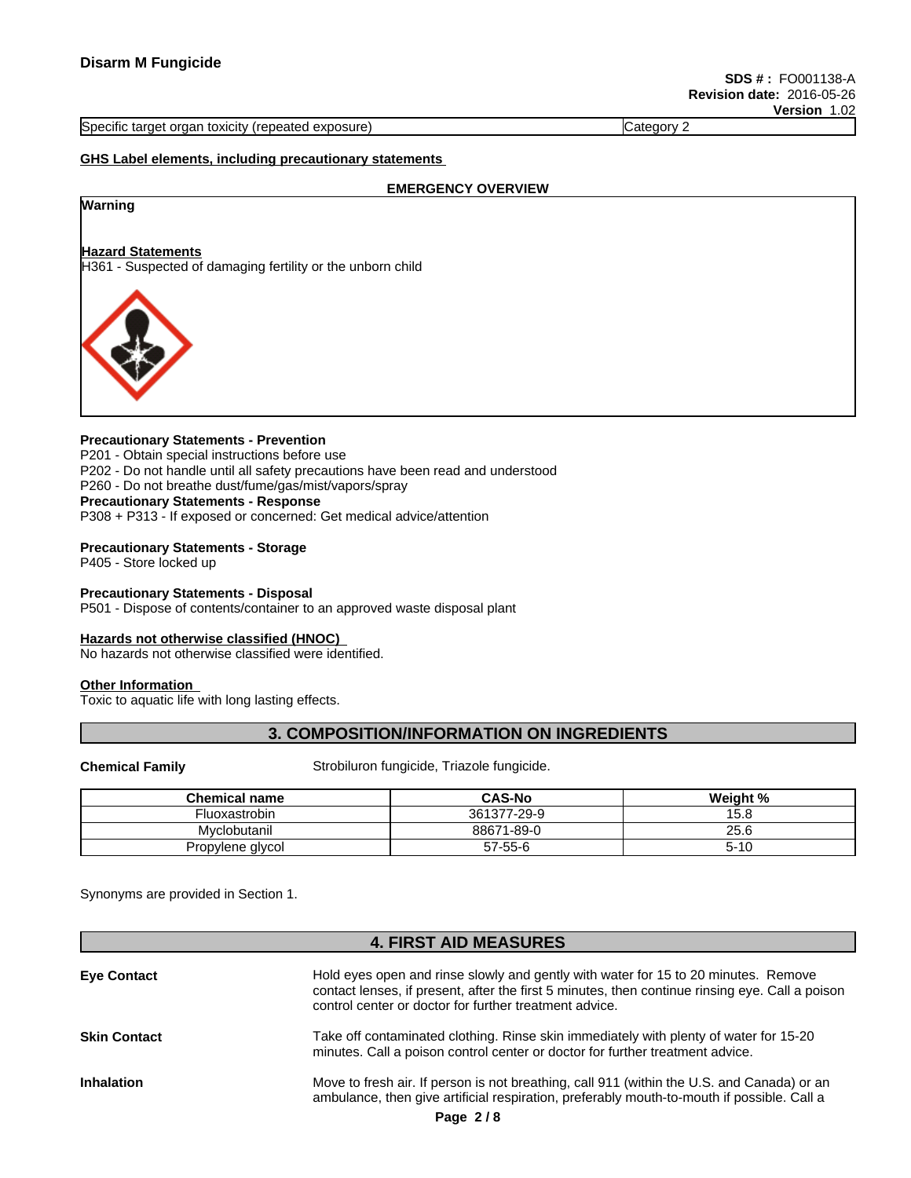#### Specific target organ toxicity (repeated exposure) Category 2

### **GHS Label elements, including precautionary statements**

#### **EMERGENCY OVERVIEW**

# **Warning**

## **Hazard Statements**

H361 - Suspected of damaging fertility or the unborn child



#### **Precautionary Statements - Prevention**

P201 - Obtain special instructions before use P202 - Do not handle until all safety precautions have been read and understood P260 - Do not breathe dust/fume/gas/mist/vapors/spray **Precautionary Statements - Response** P308 + P313 - If exposed or concerned: Get medical advice/attention

# **Precautionary Statements - Storage**

P405 - Store locked up

#### **Precautionary Statements - Disposal**

P501 - Dispose of contents/container to an approved waste disposal plant

#### **Hazards not otherwise classified (HNOC)**

No hazards not otherwise classified were identified.

## **Other Information**

Toxic to aquatic life with long lasting effects.

## **3. COMPOSITION/INFORMATION ON INGREDIENTS**

**Chemical Family** Strobiluron fungicide, Triazole fungicide.

| <b>Chemical name</b> | <b>CAS-No</b> | Weight %       |
|----------------------|---------------|----------------|
| Fluoxastrobin        | 361377-29-9   | $1 - 1$<br>5.8 |
| Mvclobutanil         | 88671-89-0    | 25.6           |
| Propylene glycol     | 57-55-6       | э- P           |

Synonyms are provided in Section 1.

## **4. FIRST AID MEASURES**

| <b>Eye Contact</b>  | Hold eyes open and rinse slowly and gently with water for 15 to 20 minutes. Remove<br>contact lenses, if present, after the first 5 minutes, then continue rinsing eye. Call a poison<br>control center or doctor for further treatment advice. |
|---------------------|-------------------------------------------------------------------------------------------------------------------------------------------------------------------------------------------------------------------------------------------------|
| <b>Skin Contact</b> | Take off contaminated clothing. Rinse skin immediately with plenty of water for 15-20<br>minutes. Call a poison control center or doctor for further treatment advice.                                                                          |
| <b>Inhalation</b>   | Move to fresh air. If person is not breathing, call 911 (within the U.S. and Canada) or an<br>ambulance, then give artificial respiration, preferably mouth-to-mouth if possible. Call a                                                        |
|                     | Page $2/8$                                                                                                                                                                                                                                      |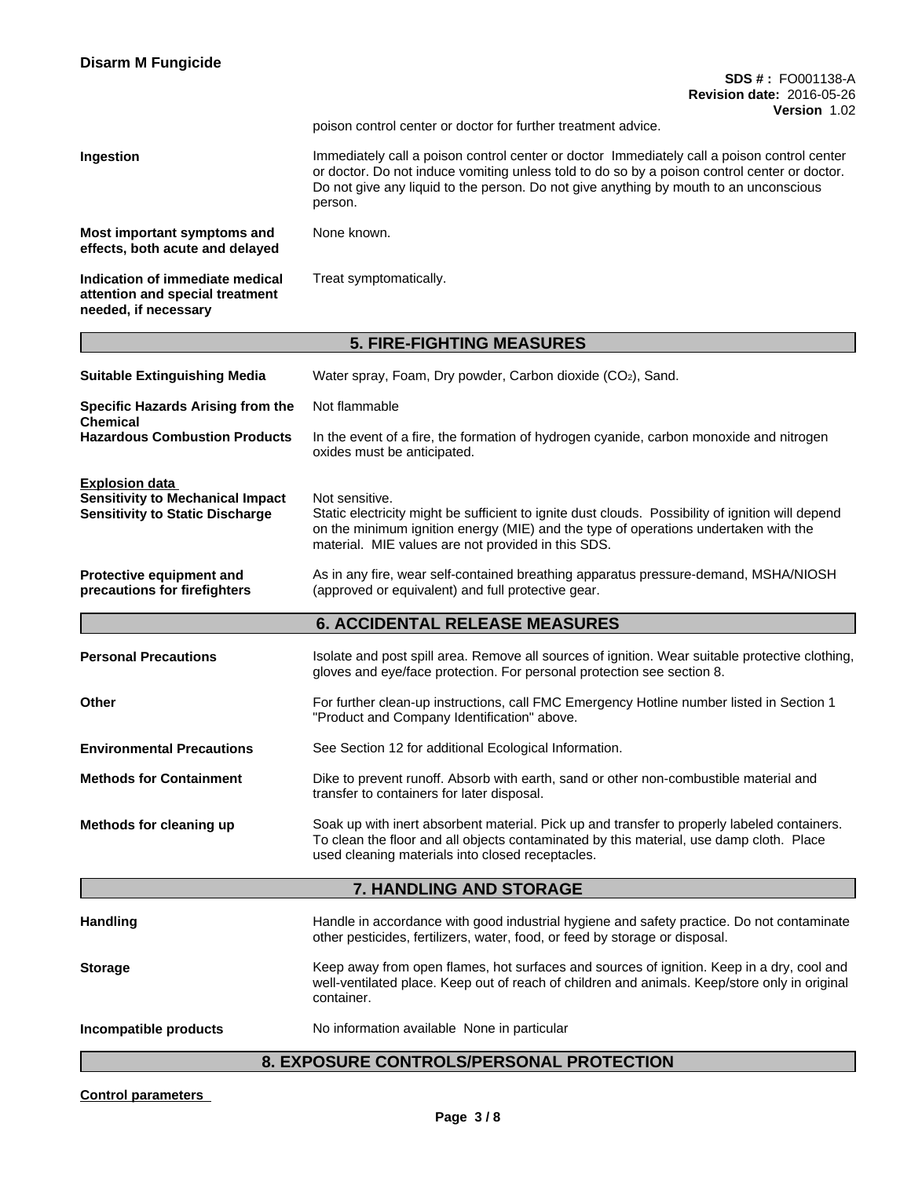| <b>Disarm M Fungicide</b>                                                                                  |                                                                                                                                                                                                                                                                                                 |
|------------------------------------------------------------------------------------------------------------|-------------------------------------------------------------------------------------------------------------------------------------------------------------------------------------------------------------------------------------------------------------------------------------------------|
|                                                                                                            | <b>SDS #: FO001138-A</b><br><b>Revision date: 2016-05-26</b><br><b>Version 1.02</b>                                                                                                                                                                                                             |
|                                                                                                            | poison control center or doctor for further treatment advice.                                                                                                                                                                                                                                   |
| Ingestion                                                                                                  | Immediately call a poison control center or doctor Immediately call a poison control center<br>or doctor. Do not induce vomiting unless told to do so by a poison control center or doctor.<br>Do not give any liquid to the person. Do not give anything by mouth to an unconscious<br>person. |
| Most important symptoms and<br>effects, both acute and delayed                                             | None known.                                                                                                                                                                                                                                                                                     |
| Indication of immediate medical<br>attention and special treatment<br>needed, if necessary                 | Treat symptomatically.                                                                                                                                                                                                                                                                          |
|                                                                                                            | <b>5. FIRE-FIGHTING MEASURES</b>                                                                                                                                                                                                                                                                |
| <b>Suitable Extinguishing Media</b>                                                                        | Water spray, Foam, Dry powder, Carbon dioxide (CO2), Sand.                                                                                                                                                                                                                                      |
| Specific Hazards Arising from the                                                                          | Not flammable                                                                                                                                                                                                                                                                                   |
| <b>Chemical</b><br><b>Hazardous Combustion Products</b>                                                    | In the event of a fire, the formation of hydrogen cyanide, carbon monoxide and nitrogen<br>oxides must be anticipated.                                                                                                                                                                          |
| <b>Explosion data</b><br><b>Sensitivity to Mechanical Impact</b><br><b>Sensitivity to Static Discharge</b> | Not sensitive.<br>Static electricity might be sufficient to ignite dust clouds. Possibility of ignition will depend<br>on the minimum ignition energy (MIE) and the type of operations undertaken with the<br>material. MIE values are not provided in this SDS.                                |
| Protective equipment and<br>precautions for firefighters                                                   | As in any fire, wear self-contained breathing apparatus pressure-demand, MSHA/NIOSH<br>(approved or equivalent) and full protective gear.                                                                                                                                                       |
|                                                                                                            | <b>6. ACCIDENTAL RELEASE MEASURES</b>                                                                                                                                                                                                                                                           |
| <b>Personal Precautions</b>                                                                                | Isolate and post spill area. Remove all sources of ignition. Wear suitable protective clothing,<br>gloves and eye/face protection. For personal protection see section 8.                                                                                                                       |
| Other                                                                                                      | For further clean-up instructions, call FMC Emergency Hotline number listed in Section 1<br>"Product and Company Identification" above.                                                                                                                                                         |
| <b>Environmental Precautions</b>                                                                           | See Section 12 for additional Ecological Information.                                                                                                                                                                                                                                           |
| <b>Methods for Containment</b>                                                                             | Dike to prevent runoff. Absorb with earth, sand or other non-combustible material and<br>transfer to containers for later disposal.                                                                                                                                                             |
| Methods for cleaning up                                                                                    | Soak up with inert absorbent material. Pick up and transfer to properly labeled containers.<br>To clean the floor and all objects contaminated by this material, use damp cloth. Place<br>used cleaning materials into closed receptacles.                                                      |
|                                                                                                            | 7. HANDLING AND STORAGE                                                                                                                                                                                                                                                                         |
| <b>Handling</b>                                                                                            | Handle in accordance with good industrial hygiene and safety practice. Do not contaminate<br>other pesticides, fertilizers, water, food, or feed by storage or disposal.                                                                                                                        |
| <b>Storage</b>                                                                                             | Keep away from open flames, hot surfaces and sources of ignition. Keep in a dry, cool and<br>well-ventilated place. Keep out of reach of children and animals. Keep/store only in original<br>container.                                                                                        |
| Incompatible products                                                                                      | No information available None in particular                                                                                                                                                                                                                                                     |
|                                                                                                            | 8. EXPOSURE CONTROLS/PERSONAL PROTECTION                                                                                                                                                                                                                                                        |
|                                                                                                            |                                                                                                                                                                                                                                                                                                 |

**Control parameters**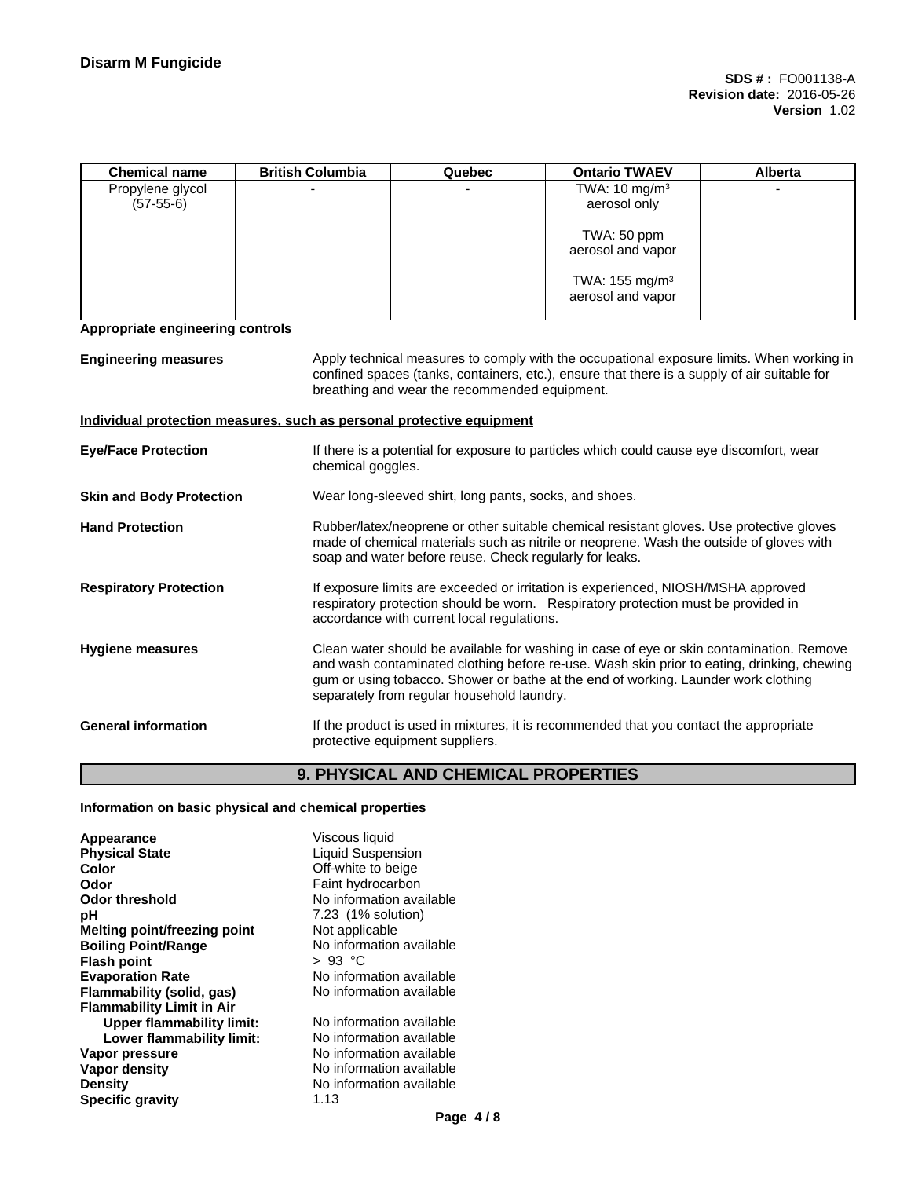| <b>Chemical name</b>                                                  | <b>British Columbia</b> | Quebec                                                  | <b>Ontario TWAEV</b>                                                                                                                                                                                                                                                         | Alberta |
|-----------------------------------------------------------------------|-------------------------|---------------------------------------------------------|------------------------------------------------------------------------------------------------------------------------------------------------------------------------------------------------------------------------------------------------------------------------------|---------|
| Propylene glycol<br>$(57-55-6)$                                       |                         |                                                         | TWA: $10 \text{ mg/m}^3$<br>aerosol only                                                                                                                                                                                                                                     |         |
|                                                                       |                         |                                                         | TWA: 50 ppm<br>aerosol and vapor                                                                                                                                                                                                                                             |         |
|                                                                       |                         |                                                         | TWA: 155 mg/m <sup>3</sup><br>aerosol and vapor                                                                                                                                                                                                                              |         |
| <b>Appropriate engineering controls</b>                               |                         |                                                         |                                                                                                                                                                                                                                                                              |         |
| <b>Engineering measures</b>                                           |                         | breathing and wear the recommended equipment.           | Apply technical measures to comply with the occupational exposure limits. When working in<br>confined spaces (tanks, containers, etc.), ensure that there is a supply of air suitable for                                                                                    |         |
| Individual protection measures, such as personal protective equipment |                         |                                                         |                                                                                                                                                                                                                                                                              |         |
| <b>Eye/Face Protection</b>                                            | chemical goggles.       |                                                         | If there is a potential for exposure to particles which could cause eye discomfort, wear                                                                                                                                                                                     |         |
| <b>Skin and Body Protection</b>                                       |                         | Wear long-sleeved shirt, long pants, socks, and shoes.  |                                                                                                                                                                                                                                                                              |         |
| <b>Hand Protection</b>                                                |                         | soap and water before reuse. Check regularly for leaks. | Rubber/latex/neoprene or other suitable chemical resistant gloves. Use protective gloves<br>made of chemical materials such as nitrile or neoprene. Wash the outside of gloves with                                                                                          |         |
| <b>Respiratory Protection</b>                                         |                         | accordance with current local regulations.              | If exposure limits are exceeded or irritation is experienced, NIOSH/MSHA approved<br>respiratory protection should be worn. Respiratory protection must be provided in                                                                                                       |         |
| <b>Hygiene measures</b>                                               |                         | separately from regular household laundry.              | Clean water should be available for washing in case of eye or skin contamination. Remove<br>and wash contaminated clothing before re-use. Wash skin prior to eating, drinking, chewing<br>gum or using tobacco. Shower or bathe at the end of working. Launder work clothing |         |
| <b>General information</b>                                            |                         | protective equipment suppliers.                         | If the product is used in mixtures, it is recommended that you contact the appropriate                                                                                                                                                                                       |         |
|                                                                       |                         |                                                         |                                                                                                                                                                                                                                                                              |         |

## **9. PHYSICAL AND CHEMICAL PROPERTIES**

### **Information on basic physical and chemical properties**

**Appearance Viscous liquid**<br> **Physical State Viscous Liquid Suspen Physical State**<br> **Color**<br>
Color **Color**Color
Color
Color
Color
Color
Color
Color
Color
Color
Color
Color
Color
Color
Color
Color
Color
Color
Color
Color
Color
Color
Color
Color
Color
Color
Color
Color
Color
Color
Color
C **Color** Color Color Color Color Color Color Color Color Color Color Color Color Color Color Color Color Color Color Color Color Color Color Color Color Color Color Color Color Color Color Color Color Color Color Color Colo **Odor**<br> **Odor threshold**<br> **Odor threshold CODO CODO CODO CODO CODO CODO CODO CODO CODO CODO CODO CODO CODO CODO CODO pH** 7.23 (1% solution) **Melting point/freezing point** Not applicable **Boiling Point/Range**<br> **Flash point**<br>  $\begin{array}{r} \text{Poisson} \\ \text{Poisson} \\ \text{Poisson} \end{array}$ **Flash point<br>Evaporation Rate Flammability** (solid, gas) **Flammability Limit in Air Upper flammability limit:** No information available<br> **Lower flammability limit:** No information available **Lower flammability limit:**<br>Vapor pressure **Vapor pressure No information available**<br> **Vapor density No information available Density** No information available **Specific gravity** 1.13

**No information available** No information available<br>No information available **No information available**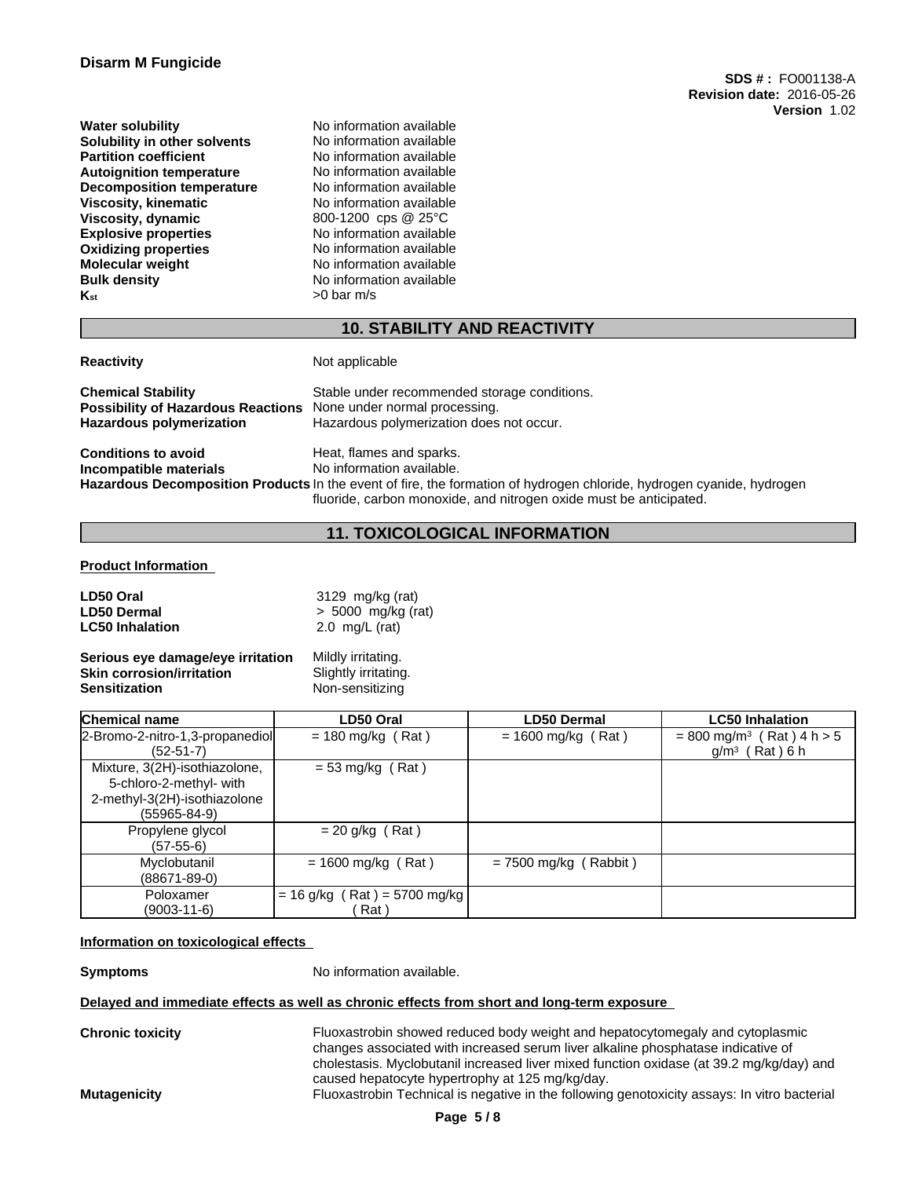**Water solubility** No information available **Solubility in other solvents** No information available **Partition coefficient**<br> **Autoignition temperature**<br>
No information available **Autoignition temperature Decomposition temperature** No information available **Viscosity, kinematic** No information available **Viscosity, dynamic** 800-1200 cps @ 25°C **Explosive properties**<br> **Oxidizing properties**<br>
No information available **Oxidizing properties Molecular weight** No information available **Bulk density** No information available  $K_{\text{st}}$   $>0$  bar m/s

## **10. STABILITY AND REACTIVITY**

**Reactivity** Not applicable

**Possibility of Hazardous Reactions** 

**Chemical Stability** Stable under recommended storage conditions.<br>**Possibility of Hazardous Reactions** None under normal processing. **Hazardous polymerization** Hazardous polymerization does not occur.

**Conditions to avoid**<br> **Conditions to avoid**<br> **Conditional Mondition** available. **Incompatible** materials **Hazardous Decomposition Products** In the event of fire, the formation of hydrogen chloride, hydrogen cyanide, hydrogen fluoride, carbon monoxide, and nitrogen oxide must be anticipated.

## **11. TOXICOLOGICAL INFORMATION**

#### **Product Information**

| LD50 Oral                         | 3129 mg/kg (rat)     |
|-----------------------------------|----------------------|
| <b>LD50 Dermal</b>                | $> 5000$ mg/kg (rat) |
| <b>LC50 Inhalation</b>            | 2.0 $mq/L$ (rat)     |
| Serious eye damage/eye irritation | Mildly irritating.   |
| <b>Skin corrosion/irritation</b>  | Slightly irritating. |
| <b>Sensitization</b>              | Non-sensitizing      |

| <b>Chemical name</b>            | LD50 Oral                      | <b>LD50 Dermal</b>      | <b>LC50 Inhalation</b>                    |
|---------------------------------|--------------------------------|-------------------------|-------------------------------------------|
| 2-Bromo-2-nitro-1,3-propanediol | $= 180$ mg/kg (Rat)            | $= 1600$ mg/kg (Rat)    | $= 800$ mg/m <sup>3</sup> (Rat) 4 h $> 5$ |
| $(52-51-7)$                     |                                |                         | $g/m3$ (Rat) 6 h                          |
| Mixture, 3(2H)-isothiazolone,   | $= 53$ mg/kg (Rat)             |                         |                                           |
| 5-chloro-2-methyl- with         |                                |                         |                                           |
| 2-methyl-3(2H)-isothiazolone    |                                |                         |                                           |
| $(55965 - 84 - 9)$              |                                |                         |                                           |
| Propylene glycol                | $= 20$ g/kg (Rat)              |                         |                                           |
| $(57-55-6)$                     |                                |                         |                                           |
| Myclobutanil                    | $= 1600$ mg/kg (Rat)           | $= 7500$ mg/kg (Rabbit) |                                           |
| $(88671 - 89 - 0)$              |                                |                         |                                           |
| Poloxamer                       | $= 16$ g/kg (Rat) = 5700 mg/kg |                         |                                           |
| $(9003 - 11 - 6)$               | Rat \                          |                         |                                           |

#### **Information on toxicological effects**

**Symptoms** No information available.

#### **Delayed and immediate effects as well as chronic effects from short and long-term exposure**

**Chronic toxicity** Fluoxastrobin showed reduced body weight and hepatocytomegaly and cytoplasmic changes associated with increased serum liver alkaline phosphatase indicative of cholestasis. Myclobutanil increased liver mixed function oxidase (at 39.2 mg/kg/day) and caused hepatocyte hypertrophy at 125 mg/kg/day.

**Mutagenicity** Fluoxastrobin Technical is negative in the following genotoxicity assays: In vitro bacterial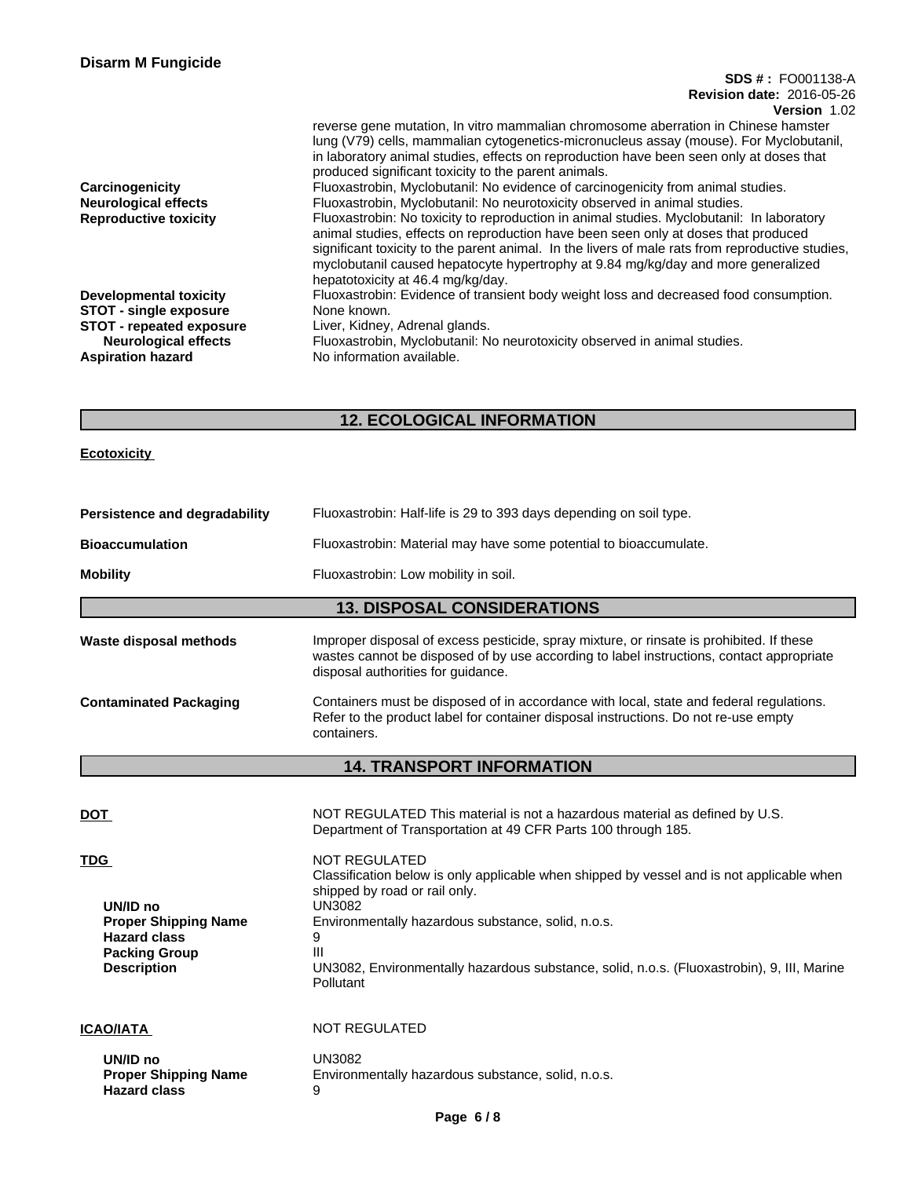| <b>Disarm M Fungicide</b>       |                                                                                                  |
|---------------------------------|--------------------------------------------------------------------------------------------------|
|                                 | <b>SDS #: FO001138-A</b>                                                                         |
|                                 | <b>Revision date: 2016-05-26</b>                                                                 |
|                                 | <b>Version 1.02</b>                                                                              |
|                                 | reverse gene mutation, In vitro mammalian chromosome aberration in Chinese hamster               |
|                                 | lung (V79) cells, mammalian cytogenetics-micronucleus assay (mouse). For Myclobutanil,           |
|                                 | in laboratory animal studies, effects on reproduction have been seen only at doses that          |
|                                 | produced significant toxicity to the parent animals.                                             |
| Carcinogenicity                 | Fluoxastrobin, Myclobutanil: No evidence of carcinogenicity from animal studies.                 |
| <b>Neurological effects</b>     | Fluoxastrobin, Myclobutanil: No neurotoxicity observed in animal studies.                        |
| <b>Reproductive toxicity</b>    | Fluoxastrobin: No toxicity to reproduction in animal studies. Myclobutanil: In laboratory        |
|                                 | animal studies, effects on reproduction have been seen only at doses that produced               |
|                                 | significant toxicity to the parent animal. In the livers of male rats from reproductive studies, |
|                                 | myclobutanil caused hepatocyte hypertrophy at 9.84 mg/kg/day and more generalized                |
|                                 | hepatotoxicity at 46.4 mg/kg/day.                                                                |
| <b>Developmental toxicity</b>   | Fluoxastrobin: Evidence of transient body weight loss and decreased food consumption.            |
| <b>STOT - single exposure</b>   | None known.                                                                                      |
| <b>STOT - repeated exposure</b> | Liver, Kidney, Adrenal glands.                                                                   |
| <b>Neurological effects</b>     | Fluoxastrobin, Myclobutanil: No neurotoxicity observed in animal studies.                        |
| <b>Aspiration hazard</b>        | No information available.                                                                        |
|                                 |                                                                                                  |

# **12. ECOLOGICAL INFORMATION**

## **Ecotoxicity**

| Persistence and degradability | Fluoxastrobin: Half-life is 29 to 393 days depending on soil type.                                                                                                                                                         |
|-------------------------------|----------------------------------------------------------------------------------------------------------------------------------------------------------------------------------------------------------------------------|
| <b>Bioaccumulation</b>        | Fluoxastrobin: Material may have some potential to bioaccumulate.                                                                                                                                                          |
| <b>Mobility</b>               | Fluoxastrobin: Low mobility in soil.                                                                                                                                                                                       |
|                               | <b>13. DISPOSAL CONSIDERATIONS</b>                                                                                                                                                                                         |
| Waste disposal methods        | Improper disposal of excess pesticide, spray mixture, or rinsate is prohibited. If these<br>wastes cannot be disposed of by use according to label instructions, contact appropriate<br>disposal authorities for guidance. |
| <b>Contaminated Packaging</b> | Containers must be disposed of in accordance with local, state and federal regulations.<br>Refer to the product label for container disposal instructions. Do not re-use empty<br>containers.                              |
|                               | <b>14. TRANSPORT INFORMATION</b>                                                                                                                                                                                           |

| <b>DOT</b>                                                                                                                 | NOT REGULATED This material is not a hazardous material as defined by U.S.<br>Department of Transportation at 49 CFR Parts 100 through 185.                                                                                                                                                                                             |
|----------------------------------------------------------------------------------------------------------------------------|-----------------------------------------------------------------------------------------------------------------------------------------------------------------------------------------------------------------------------------------------------------------------------------------------------------------------------------------|
| <b>TDG</b><br>UN/ID no<br><b>Proper Shipping Name</b><br><b>Hazard class</b><br><b>Packing Group</b><br><b>Description</b> | <b>NOT REGULATED</b><br>Classification below is only applicable when shipped by vessel and is not applicable when<br>shipped by road or rail only.<br>UN3082<br>Environmentally hazardous substance, solid, n.o.s.<br>9<br>Ш<br>UN3082, Environmentally hazardous substance, solid, n.o.s. (Fluoxastrobin), 9, III, Marine<br>Pollutant |
| <b>ICAO/IATA</b>                                                                                                           | <b>NOT REGULATED</b>                                                                                                                                                                                                                                                                                                                    |
| UN/ID no<br><b>Proper Shipping Name</b><br><b>Hazard class</b>                                                             | UN3082<br>Environmentally hazardous substance, solid, n.o.s.<br>9                                                                                                                                                                                                                                                                       |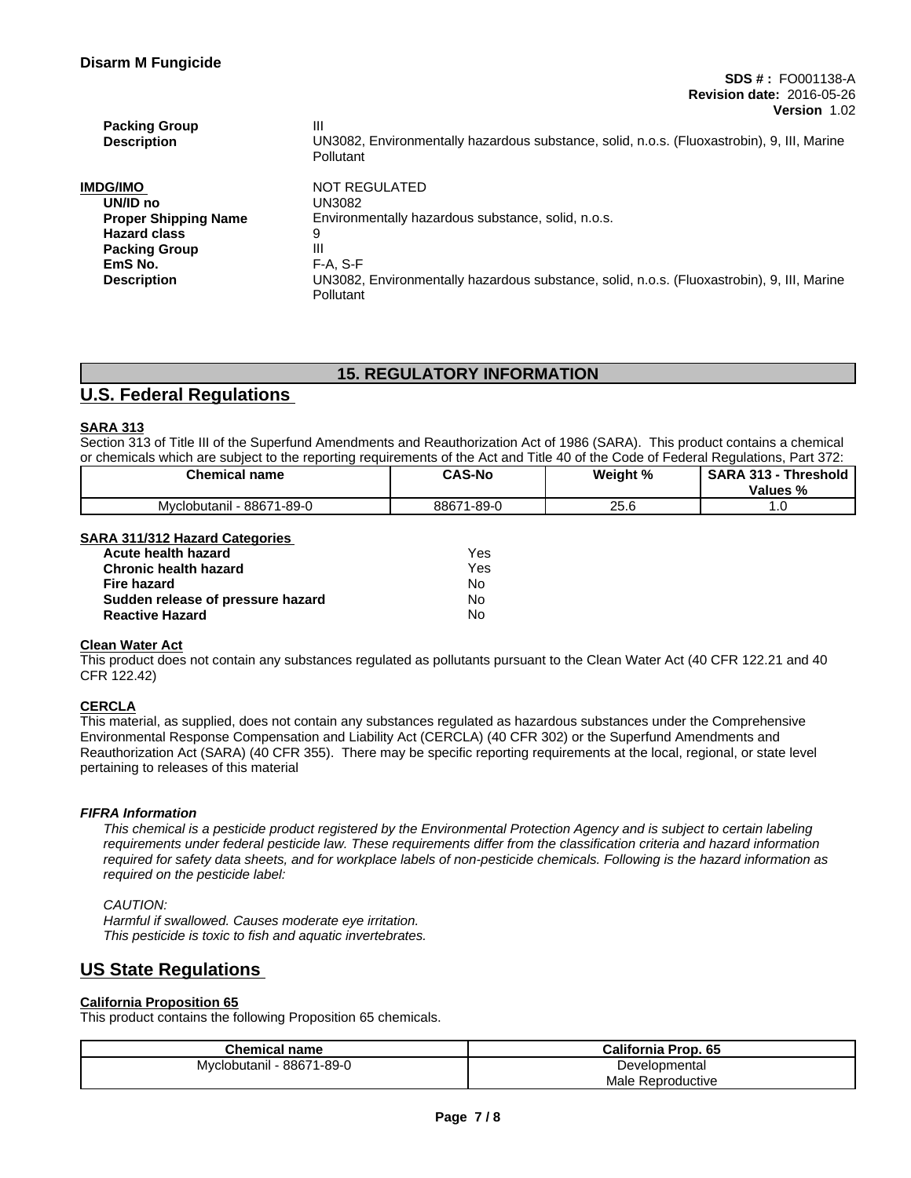| <b>Packing Group</b><br><b>Description</b> | Ш<br>UN3082, Environmentally hazardous substance, solid, n.o.s. (Fluoxastrobin), 9, III, Marine<br><b>Pollutant</b> |
|--------------------------------------------|---------------------------------------------------------------------------------------------------------------------|
| IMDG/IMO                                   | NOT REGULATED                                                                                                       |
| UN/ID no                                   | UN3082                                                                                                              |
| <b>Proper Shipping Name</b>                | Environmentally hazardous substance, solid, n.o.s.                                                                  |
| <b>Hazard class</b>                        |                                                                                                                     |
| <b>Packing Group</b>                       | Ш                                                                                                                   |
| EmS No.                                    | F-A. S-F                                                                                                            |
| <b>Description</b>                         | UN3082, Environmentally hazardous substance, solid, n.o.s. (Fluoxastrobin), 9, III, Marine<br>Pollutant             |

## **15. REGULATORY INFORMATION**

# **U.S. Federal Regulations**

## **SARA 313**

Section 313 of Title III of the Superfund Amendments and Reauthorization Act of 1986 (SARA). This product contains a chemical or chemicals which are subject to the reporting requirements of the Act and Title 40 of the Code of Federal Regulations, Part 372:

| <b>Chemical name</b>                | <b>CAS-No</b>         | Weight %     | <b>SARA 313</b><br><b>Threshold</b><br>Values % |
|-------------------------------------|-----------------------|--------------|-------------------------------------------------|
| 71-89-0<br>$-8867'$<br>Mvclobutanil | $1 - 89 - C$<br>88671 | OF C<br>20.U | .                                               |

## **SARA 311/312 Hazard Categories**

| <b>Acute health hazard</b>        | Yes |
|-----------------------------------|-----|
| <b>Chronic health hazard</b>      | Yes |
| Fire hazard                       | N٥  |
| Sudden release of pressure hazard | N٥  |
| <b>Reactive Hazard</b>            | No  |

### **Clean Water Act**

This product does not contain any substances regulated as pollutants pursuant to the Clean Water Act (40 CFR 122.21 and 40 CFR 122.42)

## **CERCLA**

This material, as supplied, does not contain any substances regulated as hazardous substances under the Comprehensive Environmental Response Compensation and Liability Act (CERCLA) (40 CFR 302) or the Superfund Amendments and Reauthorization Act (SARA) (40 CFR 355). There may be specific reporting requirements at the local, regional, or state level pertaining to releases of this material

#### *FIFRA Information*

This chemical is a pesticide product registered by the Environmental Protection Agency and is subject to certain labeling requirements under federal pesticide law. These requirements differ from the classification criteria and hazard information required for safety data sheets, and for workplace labels of non-pesticide chemicals. Following is the hazard information as *required on the pesticide label:*

#### *CAUTION:*

*Harmful if swallowed. Causes moderate eye irritation. This pesticide is toxic to fish and aquatic invertebrates.*

# **US State Regulations**

#### **California Proposition 65**

This product contains the following Proposition 65 chemicals.

| Chemical name             | California Prop. 65 |
|---------------------------|---------------------|
| Myclobutanil - 88671-89-0 | Developmental       |
|                           | Male Reproductive   |